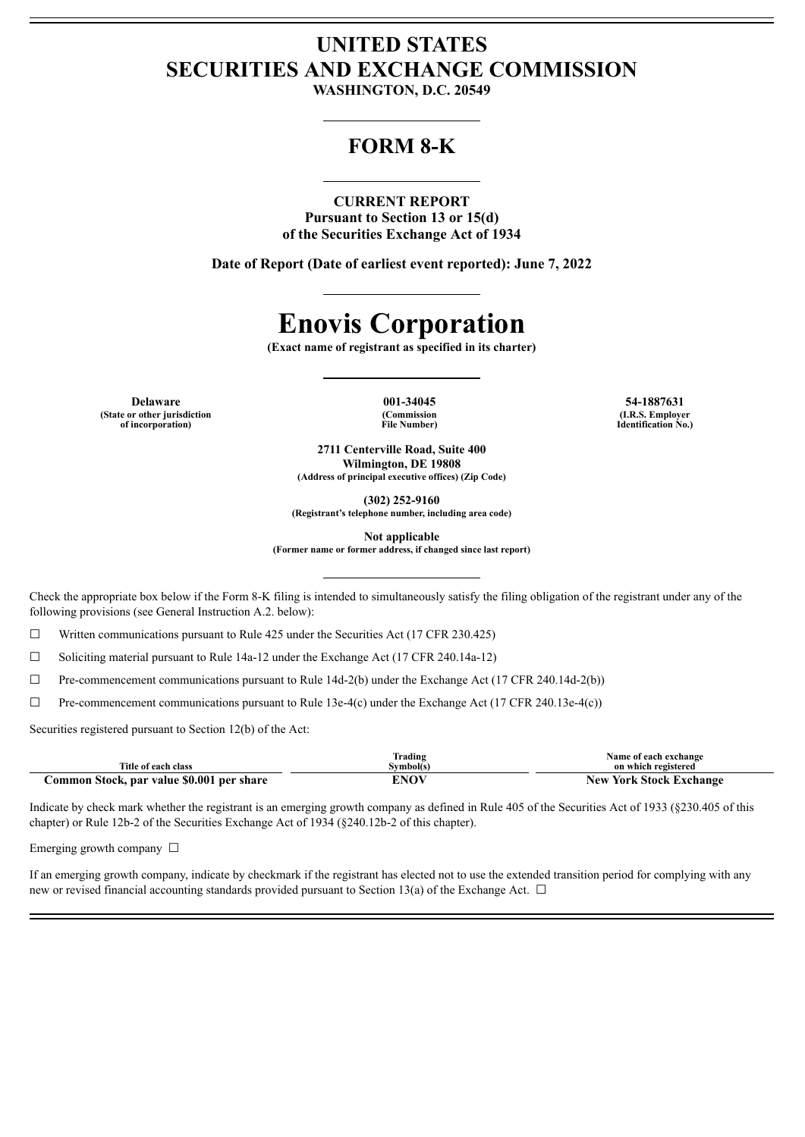# **UNITED STATES SECURITIES AND EXCHANGE COMMISSION**

**WASHINGTON, D.C. 20549**

# **FORM 8-K**

### **CURRENT REPORT Pursuant to Section 13 or 15(d) of the Securities Exchange Act of 1934**

**Date of Report (Date of earliest event reported): June 7, 2022**

# **Enovis Corporation**

**(Exact name of registrant as specified in its charter)**

**Delaware 001-34045 54-1887631 (State or other jurisdiction of incorporation)**

**(Commission File Number)**

**(I.R.S. Employer Identification No.)**

**2711 Centerville Road, Suite 400 Wilmington, DE 19808 (Address of principal executive offices) (Zip Code)**

**(302) 252-9160**

**(Registrant's telephone number, including area code)**

**Not applicable**

**(Former name or former address, if changed since last report)**

Check the appropriate box below if the Form 8-K filing is intended to simultaneously satisfy the filing obligation of the registrant under any of the following provisions (see General Instruction A.2. below):

☐ Written communications pursuant to Rule 425 under the Securities Act (17 CFR 230.425)

☐ Soliciting material pursuant to Rule 14a-12 under the Exchange Act (17 CFR 240.14a-12)

☐ Pre-commencement communications pursuant to Rule 14d-2(b) under the Exchange Act (17 CFR 240.14d-2(b))

 $\Box$  Pre-commencement communications pursuant to Rule 13e-4(c) under the Exchange Act (17 CFR 240.13e-4(c))

Securities registered pursuant to Section 12(b) of the Act:

| Title of each class                       | lrading<br>Svmbol(s) | Name of each exchange<br>on which registered |
|-------------------------------------------|----------------------|----------------------------------------------|
| Common Stock, par value \$0.001 per share | <b>ENOV</b>          | <b>New York Stock Exchange</b>               |

Indicate by check mark whether the registrant is an emerging growth company as defined in Rule 405 of the Securities Act of 1933 (§230.405 of this chapter) or Rule 12b-2 of the Securities Exchange Act of 1934 (§240.12b-2 of this chapter).

Emerging growth company  $\Box$ 

If an emerging growth company, indicate by checkmark if the registrant has elected not to use the extended transition period for complying with any new or revised financial accounting standards provided pursuant to Section 13(a) of the Exchange Act.  $\Box$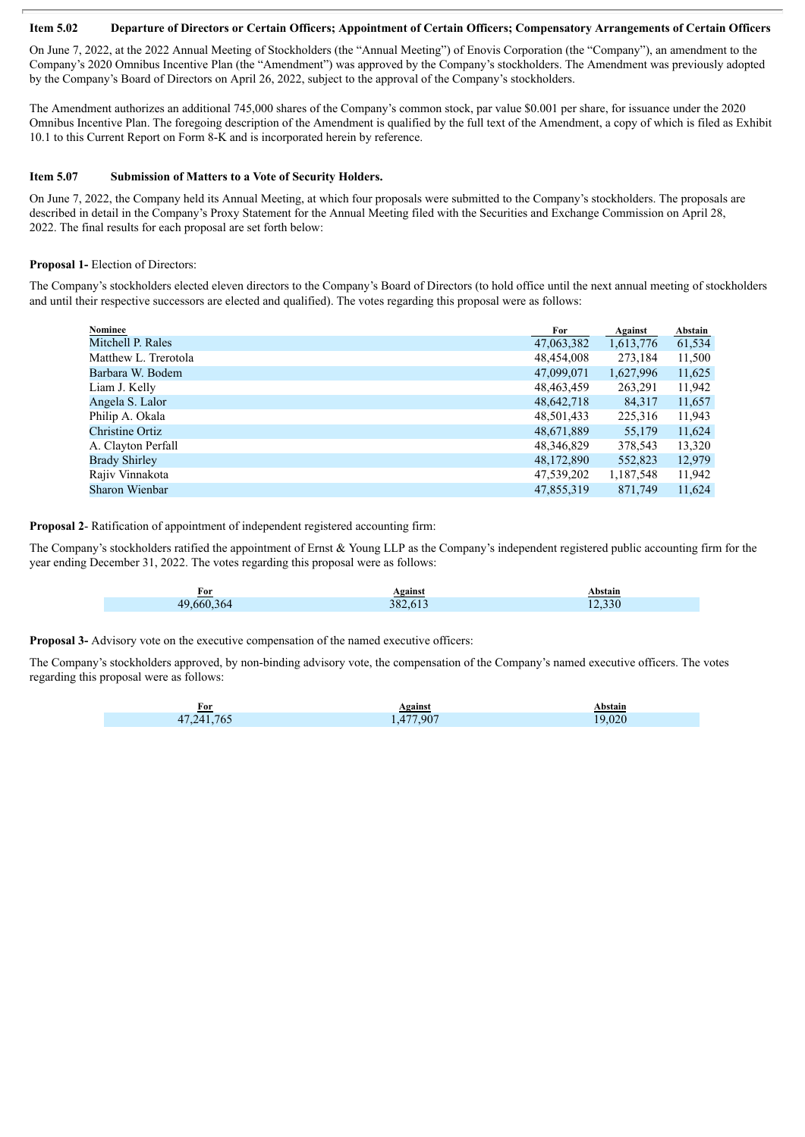#### Item 5.02 Departure of Directors or Certain Officers; Appointment of Certain Officers; Compensatory Arrangements of Certain Officers

On June 7, 2022, at the 2022 Annual Meeting of Stockholders (the "Annual Meeting") of Enovis Corporation (the "Company"), an amendment to the Company's 2020 Omnibus Incentive Plan (the "Amendment") was approved by the Company's stockholders. The Amendment was previously adopted by the Company's Board of Directors on April 26, 2022, subject to the approval of the Company's stockholders.

The Amendment authorizes an additional 745,000 shares of the Company's common stock, par value \$0.001 per share, for issuance under the 2020 Omnibus Incentive Plan. The foregoing description of the Amendment is qualified by the full text of the Amendment, a copy of which is filed as Exhibit 10.1 to this Current Report on Form 8-K and is incorporated herein by reference.

#### **Item 5.07 Submission of Matters to a Vote of Security Holders.**

On June 7, 2022, the Company held its Annual Meeting, at which four proposals were submitted to the Company's stockholders. The proposals are described in detail in the Company's Proxy Statement for the Annual Meeting filed with the Securities and Exchange Commission on April 28, 2022. The final results for each proposal are set forth below:

#### **Proposal 1-** Election of Directors:

The Company's stockholders elected eleven directors to the Company's Board of Directors (to hold office until the next annual meeting of stockholders and until their respective successors are elected and qualified). The votes regarding this proposal were as follows:

| Nominee              | For        | Against   | Abstain |
|----------------------|------------|-----------|---------|
| Mitchell P. Rales    | 47,063,382 | 1,613,776 | 61,534  |
| Matthew L. Trerotola | 48,454,008 | 273,184   | 11,500  |
| Barbara W. Bodem     | 47,099,071 | 1,627,996 | 11,625  |
| Liam J. Kelly        | 48,463,459 | 263,291   | 11,942  |
| Angela S. Lalor      | 48,642,718 | 84,317    | 11,657  |
| Philip A. Okala      | 48,501,433 | 225,316   | 11,943  |
| Christine Ortiz      | 48,671,889 | 55,179    | 11,624  |
| A. Clayton Perfall   | 48,346,829 | 378,543   | 13,320  |
| <b>Brady Shirley</b> | 48,172,890 | 552,823   | 12,979  |
| Rajiv Vinnakota      | 47,539,202 | 1,187,548 | 11,942  |
| Sharon Wienbar       | 47.855.319 | 871.749   | 11,624  |

**Proposal 2**- Ratification of appointment of independent registered accounting firm:

The Company's stockholders ratified the appointment of Ernst & Young LLP as the Company's independent registered public accounting firm for the year ending December 31, 2022. The votes regarding this proposal were as follows:

| 382.613<br>49.660.364<br>2.330 | For | <b>Against</b> | Abstain |
|--------------------------------|-----|----------------|---------|
|                                |     |                |         |

**Proposal 3-** Advisory vote on the executive compensation of the named executive officers:

The Company's stockholders approved, by non-binding advisory vote, the compensation of the Company's named executive officers. The votes regarding this proposal were as follows:

| For        | Against   | Abstain |
|------------|-----------|---------|
| 47,241,765 | 1,477,907 | 19.020  |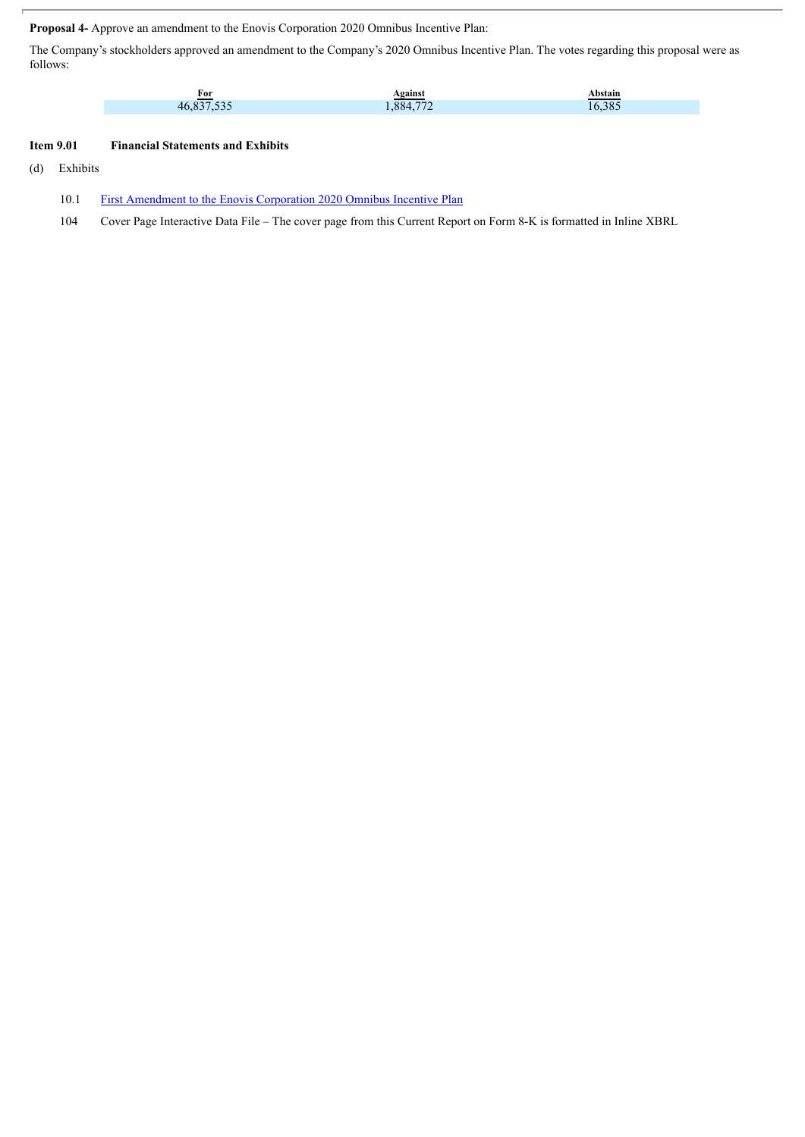**Proposal 4-** Approve an amendment to the Enovis Corporation 2020 Omnibus Incentive Plan:

The Company's stockholders approved an amendment to the Company's 2020 Omnibus Incentive Plan. The votes regarding this proposal were as follows:

| For        | Against  | Abstain |
|------------|----------|---------|
| 46,837,535 | ,884,772 | 16,385  |

## **Item 9.01 Financial Statements and Exhibits**

(d) Exhibits

10.1 First [Amendment](#page-4-0) to the Enovis Corporation 2020 Omnibus Incentive Plan

104 Cover Page Interactive Data File – The cover page from this Current Report on Form 8-K is formatted in Inline XBRL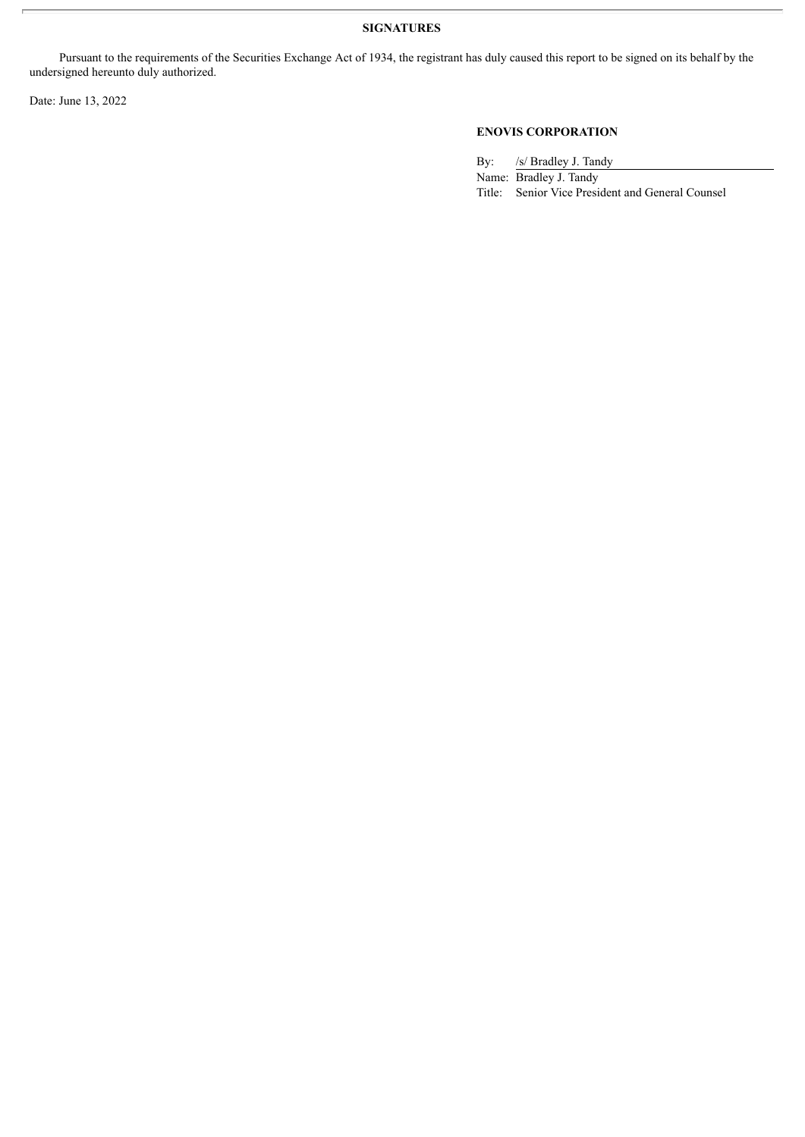## **SIGNATURES**

Pursuant to the requirements of the Securities Exchange Act of 1934, the registrant has duly caused this report to be signed on its behalf by the undersigned hereunto duly authorized.

Date: June 13, 2022

# **ENOVIS CORPORATION**

By: /s/ Bradley J. Tandy

Name: Bradley J. Tandy Title: Senior Vice President and General Counsel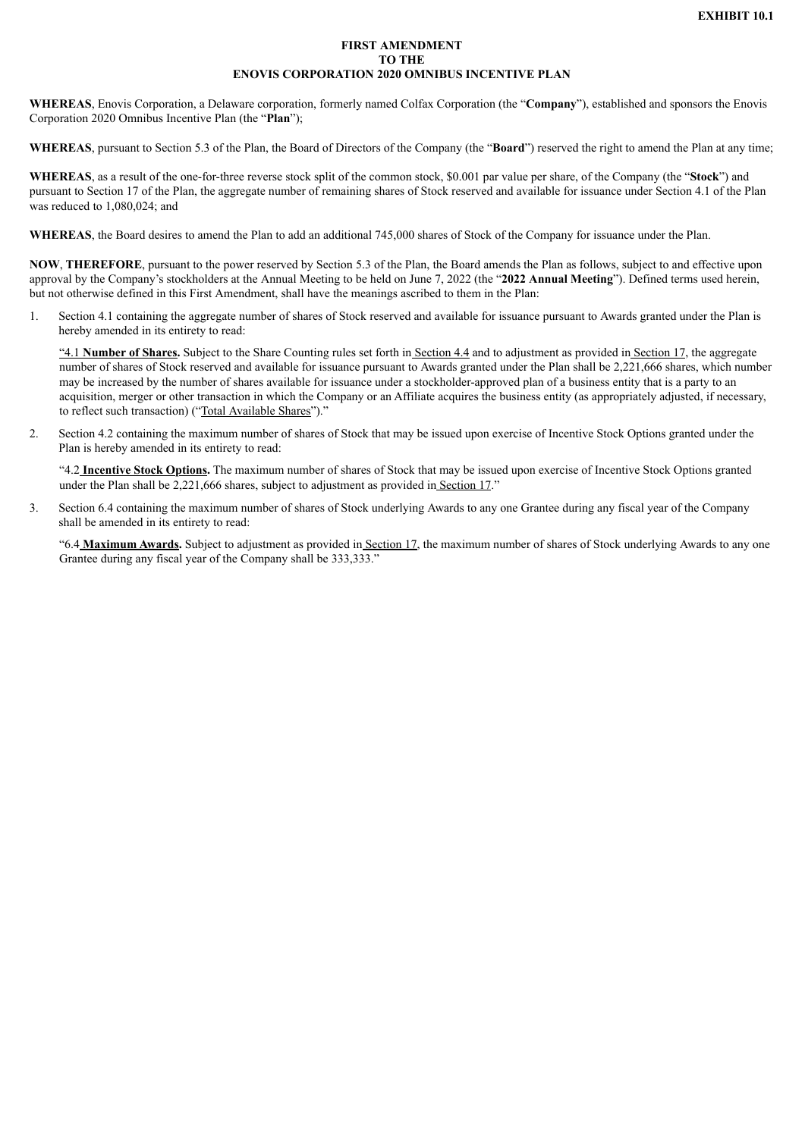#### **FIRST AMENDMENT TO THE ENOVIS CORPORATION 2020 OMNIBUS INCENTIVE PLAN**

<span id="page-4-0"></span>**WHEREAS**, Enovis Corporation, a Delaware corporation, formerly named Colfax Corporation (the "**Company**"), established and sponsors the Enovis Corporation 2020 Omnibus Incentive Plan (the "**Plan**");

**WHEREAS**, pursuant to Section 5.3 of the Plan, the Board of Directors of the Company (the "**Board**") reserved the right to amend the Plan at any time;

**WHEREAS**, as a result of the one-for-three reverse stock split of the common stock, \$0.001 par value per share, of the Company (the "**Stock**") and pursuant to Section 17 of the Plan, the aggregate number of remaining shares of Stock reserved and available for issuance under Section 4.1 of the Plan was reduced to  $1,080,024$ ; and

**WHEREAS**, the Board desires to amend the Plan to add an additional 745,000 shares of Stock of the Company for issuance under the Plan.

**NOW**, **THEREFORE**, pursuant to the power reserved by Section 5.3 of the Plan, the Board amends the Plan as follows, subject to and effective upon approval by the Company's stockholders at the Annual Meeting to be held on June 7, 2022 (the "**2022 Annual Meeting**"). Defined terms used herein, but not otherwise defined in this First Amendment, shall have the meanings ascribed to them in the Plan:

1. Section 4.1 containing the aggregate number of shares of Stock reserved and available for issuance pursuant to Awards granted under the Plan is hereby amended in its entirety to read:

"4.1 **Number of Shares.** Subject to the Share Counting rules set forth in Section 4.4 and to adjustment as provided in Section 17, the aggregate number of shares of Stock reserved and available for issuance pursuant to Awards granted under the Plan shall be 2,221,666 shares, which number may be increased by the number of shares available for issuance under a stockholder-approved plan of a business entity that is a party to an acquisition, merger or other transaction in which the Company or an Affiliate acquires the business entity (as appropriately adjusted, if necessary, to reflect such transaction) ("Total Available Shares")."

2. Section 4.2 containing the maximum number of shares of Stock that may be issued upon exercise of Incentive Stock Options granted under the Plan is hereby amended in its entirety to read:

"4.2 **Incentive Stock Options.** The maximum number of shares of Stock that may be issued upon exercise of Incentive Stock Options granted under the Plan shall be 2,221,666 shares, subject to adjustment as provided in Section 17."

3. Section 6.4 containing the maximum number of shares of Stock underlying Awards to any one Grantee during any fiscal year of the Company shall be amended in its entirety to read:

"6.4 **Maximum Awards.** Subject to adjustment as provided in Section 17, the maximum number of shares of Stock underlying Awards to any one Grantee during any fiscal year of the Company shall be 333,333."